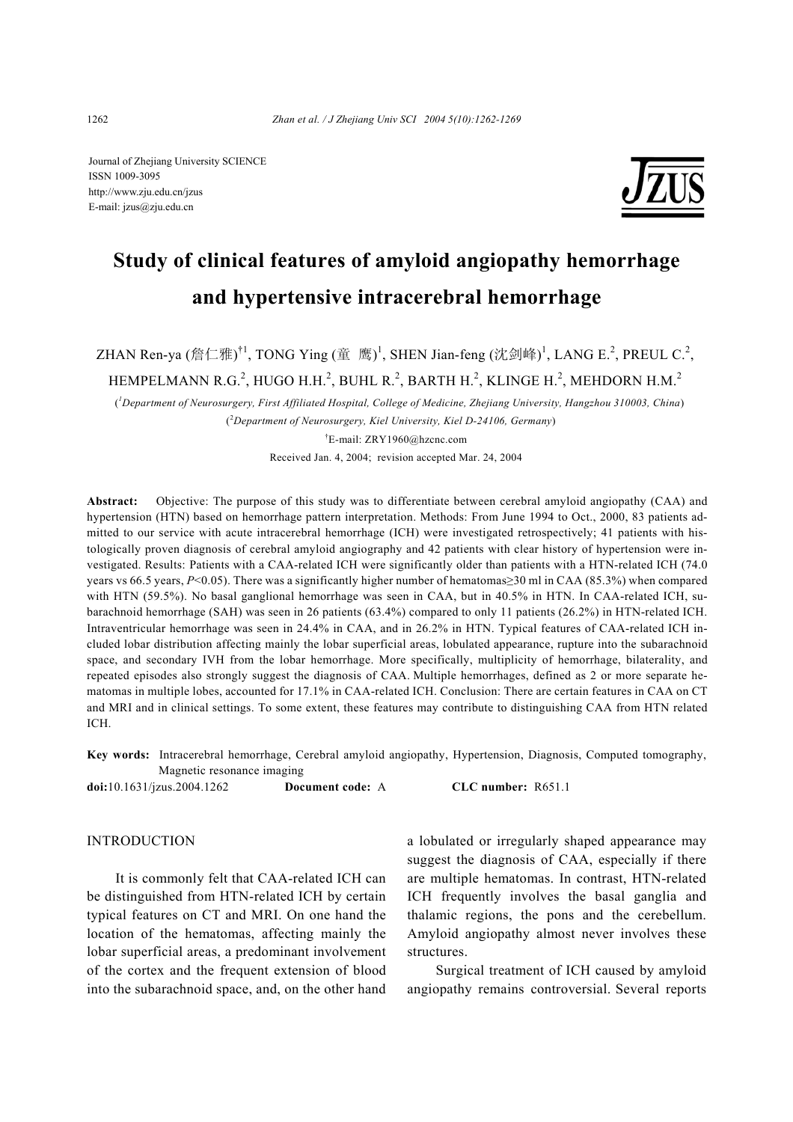Journal of Zhejiang University SCIENCE ISSN 1009-3095 http://www.zju.edu.cn/jzus E-mail: jzus@zju.edu.cn



# **Study of clinical features of amyloid angiopathy hemorrhage and hypertensive intracerebral hemorrhage**

ZHAN Ren-ya (詹仁雅) $^{\dagger 1}$ , TONG Ying (童 鹰) $^{\dagger}$ , SHEN Jian-feng (沈剑峰) $^{\dagger}$ , LANG E. $^{\dagger}$ , PREUL C. $^{\dagger}$ ,

HEMPELMANN R.G. $^2$ , HUGO H.H. $^2$ , BUHL R. $^2$ , BARTH H. $^2$ , KLINGE H. $^2$ , MEHDORN H.M. $^2$ 

( *1 Department of Neurosurgery, First Affiliated Hospital, College of Medicine, Zhejiang University, Hangzhou 310003, China*) ( 2 *Department of Neurosurgery, Kiel University, Kiel D-24106, Germany*)

† E-mail: ZRY1960@hzcnc.com

Received Jan. 4, 2004; revision accepted Mar. 24, 2004

**Abstract:** Objective: The purpose of this study was to differentiate between cerebral amyloid angiopathy (CAA) and hypertension (HTN) based on hemorrhage pattern interpretation. Methods: From June 1994 to Oct., 2000, 83 patients admitted to our service with acute intracerebral hemorrhage (ICH) were investigated retrospectively; 41 patients with histologically proven diagnosis of cerebral amyloid angiography and 42 patients with clear history of hypertension were investigated. Results: Patients with a CAA-related ICH were significantly older than patients with a HTN-related ICH (74.0 years vs 66.5 years, *P*<0.05). There was a significantly higher number of hematomas≥30 ml in CAA (85.3%) when compared with HTN (59.5%). No basal ganglional hemorrhage was seen in CAA, but in 40.5% in HTN. In CAA-related ICH, subarachnoid hemorrhage (SAH) was seen in 26 patients (63.4%) compared to only 11 patients (26.2%) in HTN-related ICH. Intraventricular hemorrhage was seen in 24.4% in CAA, and in 26.2% in HTN. Typical features of CAA-related ICH included lobar distribution affecting mainly the lobar superficial areas, lobulated appearance, rupture into the subarachnoid space, and secondary IVH from the lobar hemorrhage. More specifically, multiplicity of hemorrhage, bilaterality, and repeated episodes also strongly suggest the diagnosis of CAA. Multiple hemorrhages, defined as 2 or more separate hematomas in multiple lobes, accounted for 17.1% in CAA-related ICH. Conclusion: There are certain features in CAA on CT and MRI and in clinical settings. To some extent, these features may contribute to distinguishing CAA from HTN related ICH.

**Key words:** Intracerebral hemorrhage, Cerebral amyloid angiopathy, Hypertension, Diagnosis, Computed tomography, Magnetic resonance imaging

**doi:**10.1631/jzus.2004.1262 **Document code:** A **CLC number:** R651.1

## **INTRODUCTION**

It is commonly felt that CAA-related ICH can be distinguished from HTN-related ICH by certain typical features on CT and MRI. On one hand the location of the hematomas, affecting mainly the lobar superficial areas, a predominant involvement of the cortex and the frequent extension of blood into the subarachnoid space, and, on the other hand a lobulated or irregularly shaped appearance may suggest the diagnosis of CAA, especially if there are multiple hematomas. In contrast, HTN-related ICH frequently involves the basal ganglia and thalamic regions, the pons and the cerebellum. Amyloid angiopathy almost never involves these structures.

Surgical treatment of ICH caused by amyloid angiopathy remains controversial. Several reports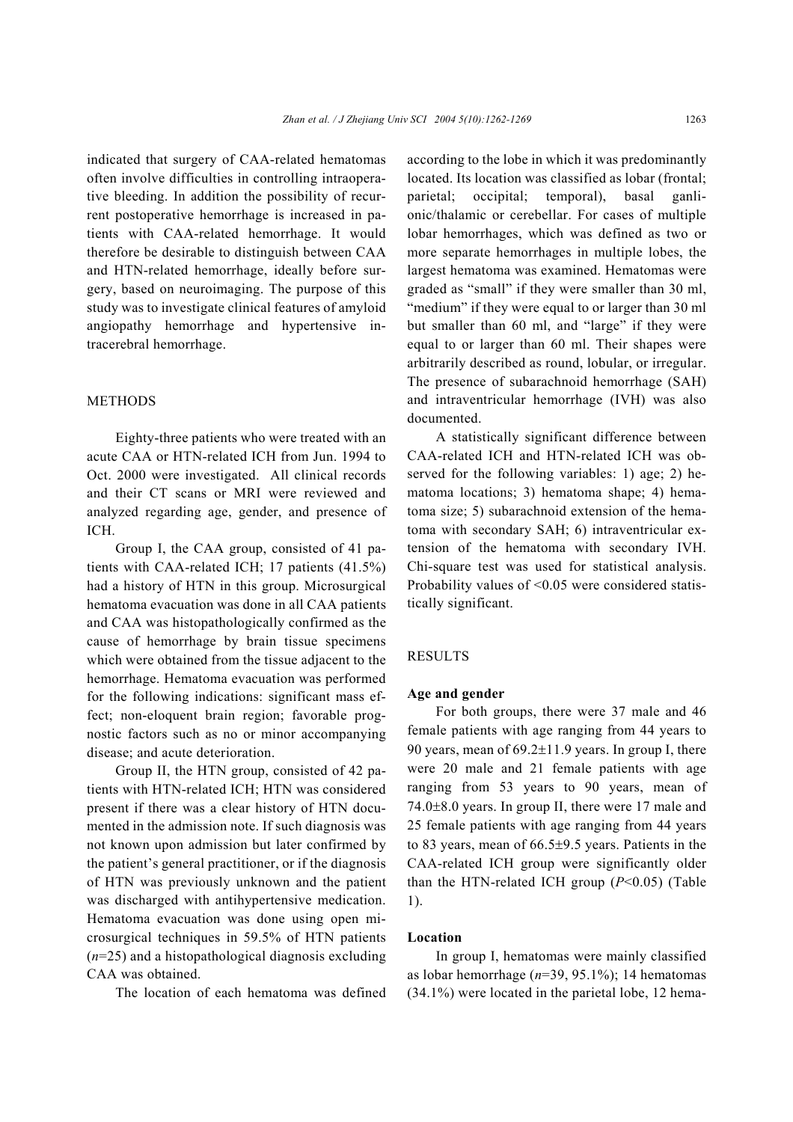indicated that surgery of CAA-related hematomas often involve difficulties in controlling intraoperative bleeding. In addition the possibility of recurrent postoperative hemorrhage is increased in patients with CAA-related hemorrhage. It would therefore be desirable to distinguish between CAA and HTN-related hemorrhage, ideally before surgery, based on neuroimaging. The purpose of this study was to investigate clinical features of amyloid angiopathy hemorrhage and hypertensive intracerebral hemorrhage.

## **METHODS**

Eighty-three patients who were treated with an acute CAA or HTN-related ICH from Jun. 1994 to Oct. 2000 were investigated. All clinical records and their CT scans or MRI were reviewed and analyzed regarding age, gender, and presence of ICH.

Group I, the CAA group, consisted of 41 patients with CAA-related ICH; 17 patients (41.5%) had a history of HTN in this group. Microsurgical hematoma evacuation was done in all CAA patients and CAA was histopathologically confirmed as the cause of hemorrhage by brain tissue specimens which were obtained from the tissue adjacent to the hemorrhage. Hematoma evacuation was performed for the following indications: significant mass effect; non-eloquent brain region; favorable prognostic factors such as no or minor accompanying disease; and acute deterioration.

Group II, the HTN group, consisted of 42 patients with HTN-related ICH; HTN was considered present if there was a clear history of HTN documented in the admission note. If such diagnosis was not known upon admission but later confirmed by the patient's general practitioner, or if the diagnosis of HTN was previously unknown and the patient was discharged with antihypertensive medication. Hematoma evacuation was done using open microsurgical techniques in 59.5% of HTN patients (*n*=25) and a histopathological diagnosis excluding CAA was obtained.

The location of each hematoma was defined

according to the lobe in which it was predominantly located. Its location was classified as lobar (frontal; parietal; occipital; temporal), basal ganlionic/thalamic or cerebellar. For cases of multiple lobar hemorrhages, which was defined as two or more separate hemorrhages in multiple lobes, the largest hematoma was examined. Hematomas were graded as "small" if they were smaller than 30 ml, "medium" if they were equal to or larger than 30 ml but smaller than 60 ml, and "large" if they were equal to or larger than 60 ml. Their shapes were arbitrarily described as round, lobular, or irregular. The presence of subarachnoid hemorrhage (SAH) and intraventricular hemorrhage (IVH) was also documented.

A statistically significant difference between CAA-related ICH and HTN-related ICH was observed for the following variables: 1) age; 2) hematoma locations; 3) hematoma shape; 4) hematoma size; 5) subarachnoid extension of the hematoma with secondary SAH; 6) intraventricular extension of the hematoma with secondary IVH. Chi-square test was used for statistical analysis. Probability values of <0.05 were considered statistically significant.

## RESULTS

#### **Age and gender**

For both groups, there were 37 male and 46 female patients with age ranging from 44 years to 90 years, mean of 69.2±11.9 years. In group I, there were 20 male and 21 female patients with age ranging from 53 years to 90 years, mean of 74.0±8.0 years. In group II, there were 17 male and 25 female patients with age ranging from 44 years to 83 years, mean of 66.5±9.5 years. Patients in the CAA-related ICH group were significantly older than the HTN-related ICH group  $(P<0.05)$  (Table 1).

#### **Location**

In group I, hematomas were mainly classified as lobar hemorrhage (*n*=39, 95.1%); 14 hematomas (34.1%) were located in the parietal lobe, 12 hema-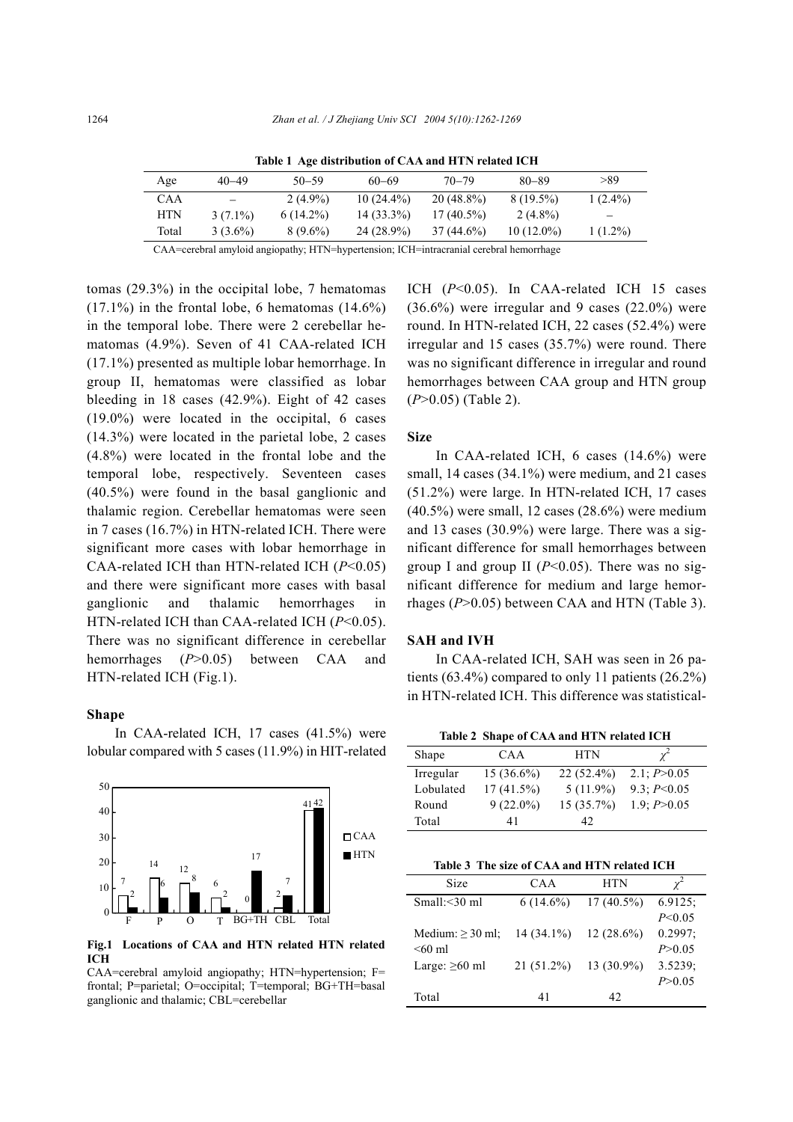| Age   | $40 - 49$         | $50 - 59$   | $60 - 69$    | $70 - 79$    | $80 - 89$    | >89        |
|-------|-------------------|-------------|--------------|--------------|--------------|------------|
| CAA   | $\qquad \qquad -$ | $2(4.9\%)$  | $10(24.4\%)$ | $20(48.8\%)$ | $8(19.5\%)$  | $1(2.4\%)$ |
| HTN   | $3(7.1\%)$        | $6(14.2\%)$ | $14(33.3\%)$ | $17(40.5\%)$ | $2(4.8\%)$   | -          |
| Total | $3(3.6\%)$        | $8(9.6\%)$  | 24 (28.9%)   | 37 (44.6%)   | $10(12.0\%)$ | $1(1.2\%)$ |
|       |                   |             |              |              |              |            |

**Table 1 Age distribution of CAA and HTN related ICH**

CAA=cerebral amyloid angiopathy; HTN=hypertension; ICH=intracranial cerebral hemorrhage

tomas (29.3%) in the occipital lobe, 7 hematomas  $(17.1\%)$  in the frontal lobe, 6 hematomas  $(14.6\%)$ in the temporal lobe. There were 2 cerebellar hematomas (4.9%). Seven of 41 CAA-related ICH (17.1%) presented as multiple lobar hemorrhage. In group II, hematomas were classified as lobar bleeding in 18 cases (42.9%). Eight of 42 cases (19.0%) were located in the occipital, 6 cases (14.3%) were located in the parietal lobe, 2 cases (4.8%) were located in the frontal lobe and the temporal lobe, respectively. Seventeen cases (40.5%) were found in the basal ganglionic and thalamic region. Cerebellar hematomas were seen in 7 cases (16.7%) in HTN-related ICH. There were significant more cases with lobar hemorrhage in CAA-related ICH than HTN-related ICH (*P*<0.05) and there were significant more cases with basal ganglionic and thalamic hemorrhages in HTN-related ICH than CAA-related ICH (*P*<0.05). There was no significant difference in cerebellar hemorrhages (*P*>0.05) between CAA and HTN-related ICH (Fig.1).

#### **Shape**

In CAA-related ICH, 17 cases (41.5%) were lobular compared with 5 cases (11.9%) in HIT-related



**Fig.1 Locations of CAA and HTN related HTN related ICH** 

CAA=cerebral amyloid angiopathy; HTN=hypertension; F= frontal; P=parietal; O=occipital; T=temporal; BG+TH=basal ganglionic and thalamic; CBL=cerebellar

ICH (*P*<0.05). In CAA-related ICH 15 cases  $(36.6\%)$  were irregular and 9 cases  $(22.0\%)$  were round. In HTN-related ICH, 22 cases (52.4%) were irregular and 15 cases (35.7%) were round. There was no significant difference in irregular and round hemorrhages between CAA group and HTN group (*P*>0.05) (Table 2).

#### **Size**

In CAA-related ICH, 6 cases (14.6%) were small, 14 cases (34.1%) were medium, and 21 cases (51.2%) were large. In HTN-related ICH, 17 cases (40.5%) were small, 12 cases (28.6%) were medium and 13 cases (30.9%) were large. There was a significant difference for small hemorrhages between group I and group II  $(P<0.05)$ . There was no significant difference for medium and large hemorrhages (*P*>0.05) between CAA and HTN (Table 3).

### **SAH and IVH**

In CAA-related ICH, SAH was seen in 26 patients (63.4%) compared to only 11 patients (26.2%) in HTN-related ICH. This difference was statistical-

| Table 2 Shape of CAA and HTN related ICH |              |              |               |  |  |
|------------------------------------------|--------------|--------------|---------------|--|--|
| Shape                                    | CAA          | <b>HTN</b>   |               |  |  |
| Irregular                                | $15(36.6\%)$ | $22(52.4\%)$ | 2.1; P > 0.05 |  |  |
| Lobulated                                | $17(41.5\%)$ | $5(11.9\%)$  | 9.3; $P<0.05$ |  |  |
| Round                                    | $9(22.0\%)$  | 15(35.7%)    | 1.9: P > 0.05 |  |  |
| Total                                    | 41           | 42           |               |  |  |

**Table 3 The size of CAA and HTN related ICH**

| Size                  | CAA          | <b>HTN</b>   |            |
|-----------------------|--------------|--------------|------------|
| Small:<30 ml          | $6(14.6\%)$  | $17(40.5\%)$ | $6.9125$ ; |
|                       |              |              | P < 0.05   |
| Medium: $\geq$ 30 ml; | $14(34.1\%)$ | $12(28.6\%)$ | $0.2997$ ; |
| $< 60$ ml             |              |              | P > 0.05   |
| Large: $\geq 60$ ml   | $21(51.2\%)$ | 13 (30.9%)   | 3.5239:    |
|                       |              |              | P > 0.05   |
| Total                 | 41           | 42.          |            |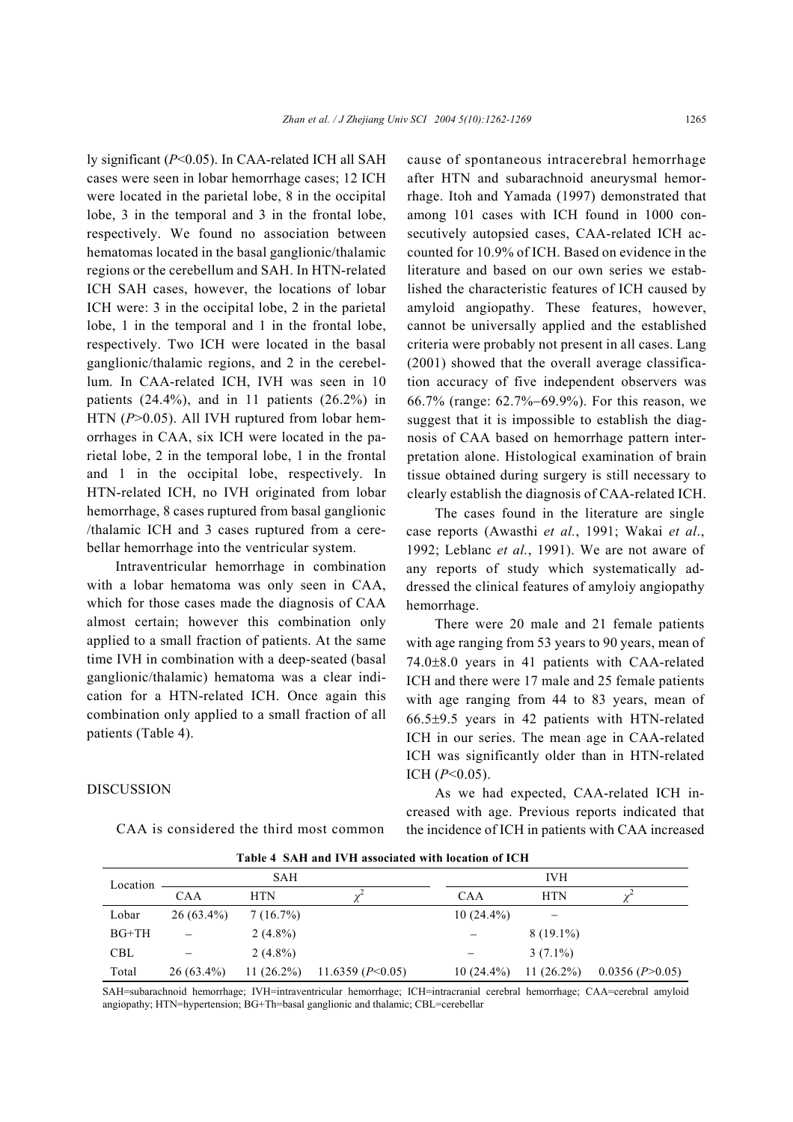ly significant (*P*<0.05). In CAA-related ICH all SAH cases were seen in lobar hemorrhage cases; 12 ICH were located in the parietal lobe, 8 in the occipital lobe, 3 in the temporal and 3 in the frontal lobe, respectively. We found no association between hematomas located in the basal ganglionic/thalamic regions or the cerebellum and SAH. In HTN-related ICH SAH cases, however, the locations of lobar ICH were: 3 in the occipital lobe, 2 in the parietal lobe, 1 in the temporal and 1 in the frontal lobe, respectively. Two ICH were located in the basal ganglionic/thalamic regions, and 2 in the cerebellum. In CAA-related ICH, IVH was seen in 10 patients  $(24.4\%)$ , and in 11 patients  $(26.2\%)$  in HTN (P>0.05). All IVH ruptured from lobar hemorrhages in CAA, six ICH were located in the parietal lobe, 2 in the temporal lobe, 1 in the frontal and 1 in the occipital lobe, respectively. In HTN-related ICH, no IVH originated from lobar hemorrhage, 8 cases ruptured from basal ganglionic /thalamic ICH and 3 cases ruptured from a cerebellar hemorrhage into the ventricular system.

Intraventricular hemorrhage in combination with a lobar hematoma was only seen in CAA, which for those cases made the diagnosis of CAA almost certain; however this combination only applied to a small fraction of patients. At the same time IVH in combination with a deep-seated (basal ganglionic/thalamic) hematoma was a clear indication for a HTN-related ICH. Once again this combination only applied to a small fraction of all patients (Table 4).

CAA is considered the third most common

DISCUSSION

cause of spontaneous intracerebral hemorrhage after HTN and subarachnoid aneurysmal hemorrhage. Itoh and Yamada (1997) demonstrated that among 101 cases with ICH found in 1000 consecutively autopsied cases, CAA-related ICH accounted for 10.9% of ICH. Based on evidence in the literature and based on our own series we established the characteristic features of ICH caused by amyloid angiopathy. These features, however, cannot be universally applied and the established criteria were probably not present in all cases. Lang (2001) showed that the overall average classification accuracy of five independent observers was 66.7% (range: 62.7%−69.9%). For this reason, we suggest that it is impossible to establish the diagnosis of CAA based on hemorrhage pattern interpretation alone. Histological examination of brain tissue obtained during surgery is still necessary to clearly establish the diagnosis of CAA-related ICH.

 The cases found in the literature are single case reports (Awasthi *et al.*, 1991; Wakai *et al*., 1992; Leblanc *et al.*, 1991). We are not aware of any reports of study which systematically addressed the clinical features of amyloiy angiopathy hemorrhage.

There were 20 male and 21 female patients with age ranging from 53 years to 90 years, mean of 74.0±8.0 years in 41 patients with CAA-related ICH and there were 17 male and 25 female patients with age ranging from 44 to 83 years, mean of 66.5±9.5 years in 42 patients with HTN-related ICH in our series. The mean age in CAA-related ICH was significantly older than in HTN-related ICH (*P*<0.05).

As we had expected, CAA-related ICH increased with age. Previous reports indicated that the incidence of ICH in patients with CAA increased

|            |              | <b>SAH</b>    |                      |              | <b>IVH</b>    |                   |
|------------|--------------|---------------|----------------------|--------------|---------------|-------------------|
| Location   | <b>CAA</b>   | <b>HTN</b>    |                      | <b>CAA</b>   | <b>HTN</b>    |                   |
| Lobar      | $26(63.4\%)$ | $7(16.7\%)$   |                      | $10(24.4\%)$ |               |                   |
| $BG+TH$    |              | $2(4.8\%)$    |                      |              | $8(19.1\%)$   |                   |
| <b>CBL</b> |              | $2(4.8\%)$    |                      |              | $3(7.1\%)$    |                   |
| Total      | $26(63.4\%)$ | 11 $(26.2\%)$ | 11.6359 ( $P<0.05$ ) | $10(24.4\%)$ | 11 $(26.2\%)$ | 0.0356 (P > 0.05) |

**Table 4 SAH and IVH associated with location of ICH**

SAH=subarachnoid hemorrhage; IVH=intraventricular hemorrhage; ICH=intracranial cerebral hemorrhage; CAA=cerebral amyloid angiopathy; HTN=hypertension; BG+Th=basal ganglionic and thalamic; CBL=cerebellar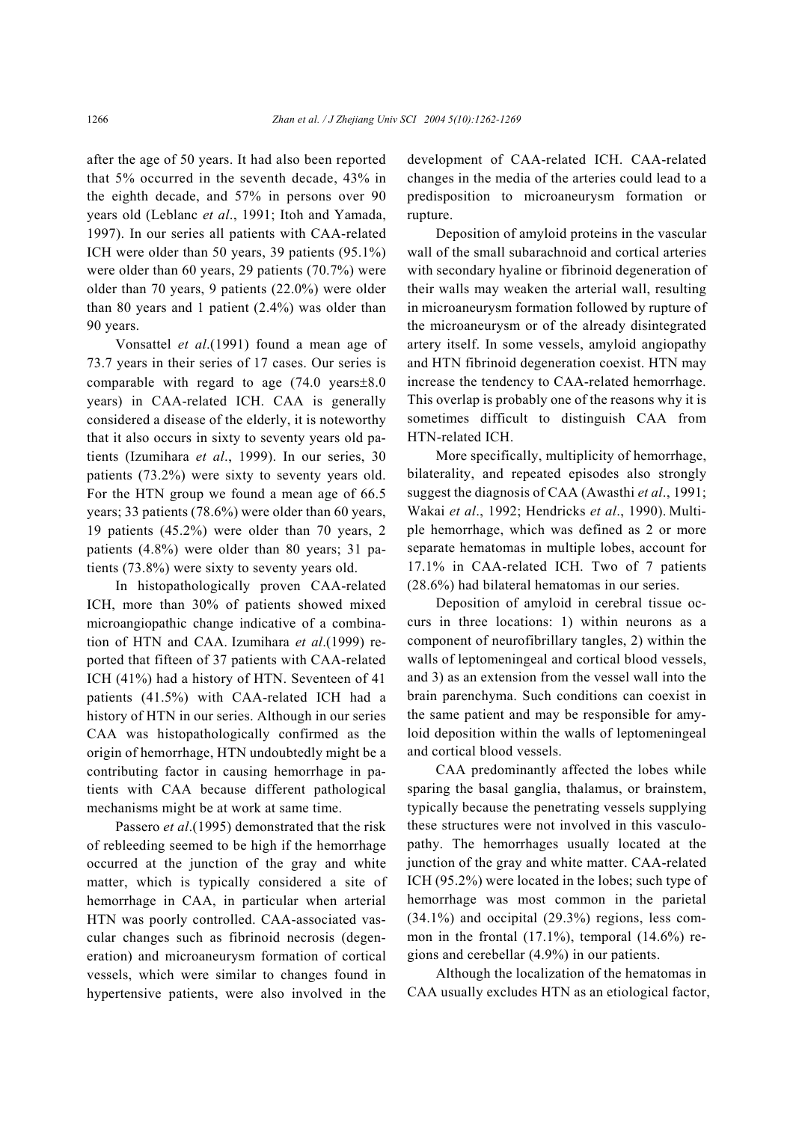after the age of 50 years. It had also been reported that 5% occurred in the seventh decade, 43% in the eighth decade, and 57% in persons over 90 years old (Leblanc *et al*., 1991; Itoh and Yamada, 1997). In our series all patients with CAA-related ICH were older than 50 years, 39 patients (95.1%) were older than 60 years, 29 patients (70.7%) were older than 70 years, 9 patients (22.0%) were older than 80 years and 1 patient (2.4%) was older than 90 years.

Vonsattel *et al*.(1991) found a mean age of 73.7 years in their series of 17 cases. Our series is comparable with regard to age (74.0 years±8.0 years) in CAA-related ICH. CAA is generally considered a disease of the elderly, it is noteworthy that it also occurs in sixty to seventy years old patients (Izumihara *et al*., 1999). In our series, 30 patients (73.2%) were sixty to seventy years old. For the HTN group we found a mean age of 66.5 years; 33 patients (78.6%) were older than 60 years, 19 patients (45.2%) were older than 70 years, 2 patients (4.8%) were older than 80 years; 31 patients (73.8%) were sixty to seventy years old.

In histopathologically proven CAA-related ICH, more than 30% of patients showed mixed microangiopathic change indicative of a combination of HTN and CAA. Izumihara *et al*.(1999) reported that fifteen of 37 patients with CAA-related ICH (41%) had a history of HTN. Seventeen of 41 patients (41.5%) with CAA-related ICH had a history of HTN in our series. Although in our series CAA was histopathologically confirmed as the origin of hemorrhage, HTN undoubtedly might be a contributing factor in causing hemorrhage in patients with CAA because different pathological mechanisms might be at work at same time.

Passero *et al*.(1995) demonstrated that the risk of rebleeding seemed to be high if the hemorrhage occurred at the junction of the gray and white matter, which is typically considered a site of hemorrhage in CAA, in particular when arterial HTN was poorly controlled. CAA-associated vascular changes such as fibrinoid necrosis (degeneration) and microaneurysm formation of cortical vessels, which were similar to changes found in hypertensive patients, were also involved in the development of CAA-related ICH. CAA-related changes in the media of the arteries could lead to a predisposition to microaneurysm formation or rupture.

Deposition of amyloid proteins in the vascular wall of the small subarachnoid and cortical arteries with secondary hyaline or fibrinoid degeneration of their walls may weaken the arterial wall, resulting in microaneurysm formation followed by rupture of the microaneurysm or of the already disintegrated artery itself. In some vessels, amyloid angiopathy and HTN fibrinoid degeneration coexist. HTN may increase the tendency to CAA-related hemorrhage. This overlap is probably one of the reasons why it is sometimes difficult to distinguish CAA from HTN-related ICH.

More specifically, multiplicity of hemorrhage, bilaterality, and repeated episodes also strongly suggest the diagnosis of CAA (Awasthi *et al*., 1991; Wakai *et al*., 1992; Hendricks *et al*., 1990). Multiple hemorrhage, which was defined as 2 or more separate hematomas in multiple lobes, account for 17.1% in CAA-related ICH. Two of 7 patients (28.6%) had bilateral hematomas in our series.

Deposition of amyloid in cerebral tissue occurs in three locations: 1) within neurons as a component of neurofibrillary tangles, 2) within the walls of leptomeningeal and cortical blood vessels, and 3) as an extension from the vessel wall into the brain parenchyma. Such conditions can coexist in the same patient and may be responsible for amyloid deposition within the walls of leptomeningeal and cortical blood vessels.

CAA predominantly affected the lobes while sparing the basal ganglia, thalamus, or brainstem, typically because the penetrating vessels supplying these structures were not involved in this vasculopathy. The hemorrhages usually located at the junction of the gray and white matter. CAA-related ICH (95.2%) were located in the lobes; such type of hemorrhage was most common in the parietal  $(34.1\%)$  and occipital  $(29.3\%)$  regions, less common in the frontal  $(17.1\%)$ , temporal  $(14.6\%)$  regions and cerebellar (4.9%) in our patients.

Although the localization of the hematomas in CAA usually excludes HTN as an etiological factor,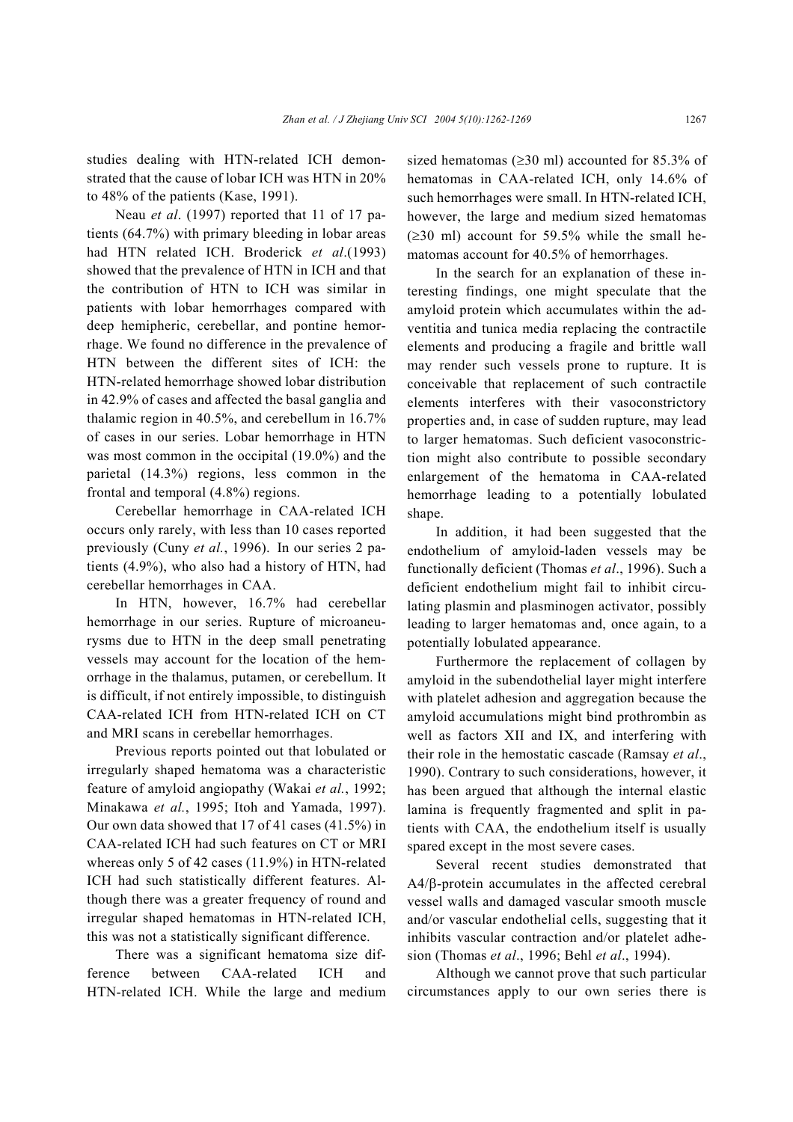studies dealing with HTN-related ICH demonstrated that the cause of lobar ICH was HTN in 20% to 48% of the patients (Kase, 1991).

Neau *et al*. (1997) reported that 11 of 17 patients (64.7%) with primary bleeding in lobar areas had HTN related ICH. Broderick *et al*.(1993) showed that the prevalence of HTN in ICH and that the contribution of HTN to ICH was similar in patients with lobar hemorrhages compared with deep hemipheric, cerebellar, and pontine hemorrhage. We found no difference in the prevalence of HTN between the different sites of ICH: the HTN-related hemorrhage showed lobar distribution in 42.9% of cases and affected the basal ganglia and thalamic region in 40.5%, and cerebellum in 16.7% of cases in our series. Lobar hemorrhage in HTN was most common in the occipital (19.0%) and the parietal (14.3%) regions, less common in the frontal and temporal (4.8%) regions.

Cerebellar hemorrhage in CAA-related ICH occurs only rarely, with less than 10 cases reported previously (Cuny *et al.*, 1996). In our series 2 patients (4.9%), who also had a history of HTN, had cerebellar hemorrhages in CAA.

In HTN, however, 16.7% had cerebellar hemorrhage in our series. Rupture of microaneurysms due to HTN in the deep small penetrating vessels may account for the location of the hemorrhage in the thalamus, putamen, or cerebellum. It is difficult, if not entirely impossible, to distinguish CAA-related ICH from HTN-related ICH on CT and MRI scans in cerebellar hemorrhages.

Previous reports pointed out that lobulated or irregularly shaped hematoma was a characteristic feature of amyloid angiopathy (Wakai *et al.*, 1992; Minakawa *et al.*, 1995; Itoh and Yamada, 1997). Our own data showed that 17 of 41 cases (41.5%) in CAA-related ICH had such features on CT or MRI whereas only 5 of 42 cases (11.9%) in HTN-related ICH had such statistically different features. Although there was a greater frequency of round and irregular shaped hematomas in HTN-related ICH, this was not a statistically significant difference.

There was a significant hematoma size difference between CAA-related ICH and HTN-related ICH. While the large and medium sized hematomas ( $\geq$ 30 ml) accounted for 85.3% of hematomas in CAA-related ICH, only 14.6% of such hemorrhages were small. In HTN-related ICH, however, the large and medium sized hematomas  $(\geq 30 \text{ ml})$  account for 59.5% while the small hematomas account for 40.5% of hemorrhages.

In the search for an explanation of these interesting findings, one might speculate that the amyloid protein which accumulates within the adventitia and tunica media replacing the contractile elements and producing a fragile and brittle wall may render such vessels prone to rupture. It is conceivable that replacement of such contractile elements interferes with their vasoconstrictory properties and, in case of sudden rupture, may lead to larger hematomas. Such deficient vasoconstriction might also contribute to possible secondary enlargement of the hematoma in CAA-related hemorrhage leading to a potentially lobulated shape.

In addition, it had been suggested that the endothelium of amyloid-laden vessels may be functionally deficient (Thomas *et al*., 1996). Such a deficient endothelium might fail to inhibit circulating plasmin and plasminogen activator, possibly leading to larger hematomas and, once again, to a potentially lobulated appearance.

Furthermore the replacement of collagen by amyloid in the subendothelial layer might interfere with platelet adhesion and aggregation because the amyloid accumulations might bind prothrombin as well as factors XII and IX, and interfering with their role in the hemostatic cascade (Ramsay *et al*., 1990). Contrary to such considerations, however, it has been argued that although the internal elastic lamina is frequently fragmented and split in patients with CAA, the endothelium itself is usually spared except in the most severe cases.

Several recent studies demonstrated that A4/β-protein accumulates in the affected cerebral vessel walls and damaged vascular smooth muscle and/or vascular endothelial cells, suggesting that it inhibits vascular contraction and/or platelet adhesion (Thomas *et al*., 1996; Behl *et al*., 1994).

Although we cannot prove that such particular circumstances apply to our own series there is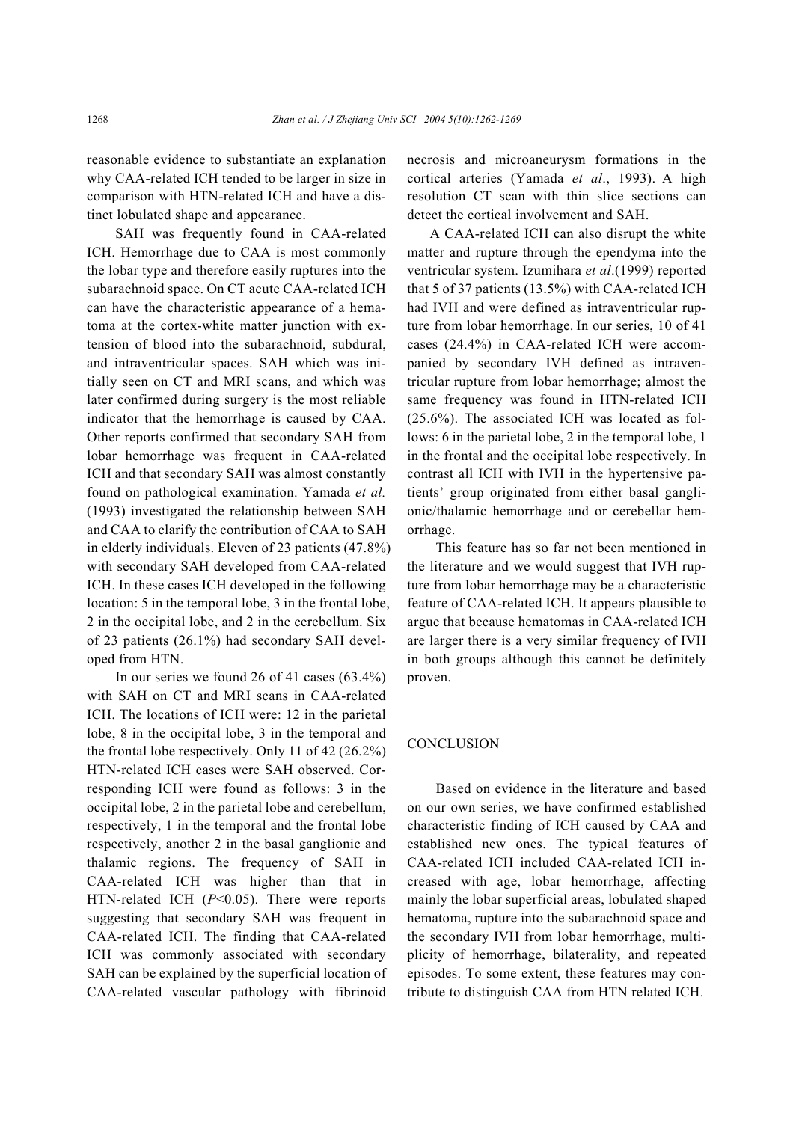reasonable evidence to substantiate an explanation why CAA-related ICH tended to be larger in size in comparison with HTN-related ICH and have a distinct lobulated shape and appearance.

SAH was frequently found in CAA-related ICH. Hemorrhage due to CAA is most commonly the lobar type and therefore easily ruptures into the subarachnoid space. On CT acute CAA-related ICH can have the characteristic appearance of a hematoma at the cortex-white matter junction with extension of blood into the subarachnoid, subdural, and intraventricular spaces. SAH which was initially seen on CT and MRI scans, and which was later confirmed during surgery is the most reliable indicator that the hemorrhage is caused by CAA. Other reports confirmed that secondary SAH from lobar hemorrhage was frequent in CAA-related ICH and that secondary SAH was almost constantly found on pathological examination. Yamada *et al.*  (1993) investigated the relationship between SAH and CAA to clarify the contribution of CAA to SAH in elderly individuals. Eleven of 23 patients (47.8%) with secondary SAH developed from CAA-related ICH. In these cases ICH developed in the following location: 5 in the temporal lobe, 3 in the frontal lobe, 2 in the occipital lobe, and 2 in the cerebellum. Six of 23 patients (26.1%) had secondary SAH developed from HTN.

In our series we found 26 of 41 cases (63.4%) with SAH on CT and MRI scans in CAA-related ICH. The locations of ICH were: 12 in the parietal lobe, 8 in the occipital lobe, 3 in the temporal and the frontal lobe respectively. Only 11 of 42 (26.2%) HTN-related ICH cases were SAH observed. Corresponding ICH were found as follows: 3 in the occipital lobe, 2 in the parietal lobe and cerebellum, respectively, 1 in the temporal and the frontal lobe respectively, another 2 in the basal ganglionic and thalamic regions. The frequency of SAH in CAA-related ICH was higher than that in HTN-related ICH (*P*<0.05). There were reports suggesting that secondary SAH was frequent in CAA-related ICH. The finding that CAA-related ICH was commonly associated with secondary SAH can be explained by the superficial location of CAA-related vascular pathology with fibrinoid necrosis and microaneurysm formations in the cortical arteries (Yamada *et al*., 1993). A high resolution CT scan with thin slice sections can detect the cortical involvement and SAH.

 A CAA-related ICH can also disrupt the white matter and rupture through the ependyma into the ventricular system. Izumihara *et al*.(1999) reported that 5 of 37 patients (13.5%) with CAA-related ICH had IVH and were defined as intraventricular rupture from lobar hemorrhage. In our series, 10 of 41 cases (24.4%) in CAA-related ICH were accompanied by secondary IVH defined as intraventricular rupture from lobar hemorrhage; almost the same frequency was found in HTN-related ICH (25.6%). The associated ICH was located as follows: 6 in the parietal lobe, 2 in the temporal lobe, 1 in the frontal and the occipital lobe respectively. In contrast all ICH with IVH in the hypertensive patients' group originated from either basal ganglionic/thalamic hemorrhage and or cerebellar hemorrhage.

This feature has so far not been mentioned in the literature and we would suggest that IVH rupture from lobar hemorrhage may be a characteristic feature of CAA-related ICH. It appears plausible to argue that because hematomas in CAA-related ICH are larger there is a very similar frequency of IVH in both groups although this cannot be definitely proven.

## **CONCLUSION**

Based on evidence in the literature and based on our own series, we have confirmed established characteristic finding of ICH caused by CAA and established new ones. The typical features of CAA-related ICH included CAA-related ICH increased with age, lobar hemorrhage, affecting mainly the lobar superficial areas, lobulated shaped hematoma, rupture into the subarachnoid space and the secondary IVH from lobar hemorrhage, multiplicity of hemorrhage, bilaterality, and repeated episodes. To some extent, these features may contribute to distinguish CAA from HTN related ICH.